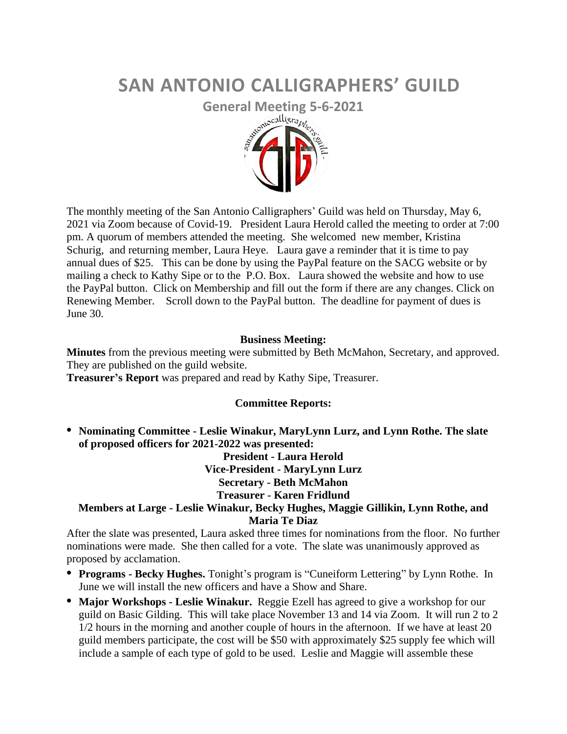# **SAN ANTONIO CALLIGRAPHERS' GUILD**



The monthly meeting of the San Antonio Calligraphers' Guild was held on Thursday, May 6, 2021 via Zoom because of Covid-19. President Laura Herold called the meeting to order at 7:00 pm. A quorum of members attended the meeting. She welcomed new member, Kristina Schurig, and returning member, Laura Heye. Laura gave a reminder that it is time to pay annual dues of \$25. This can be done by using the PayPal feature on the SACG website or by mailing a check to Kathy Sipe or to the P.O. Box. Laura showed the website and how to use the PayPal button. Click on Membership and fill out the form if there are any changes. Click on Renewing Member. Scroll down to the PayPal button. The deadline for payment of dues is June 30.

## **Business Meeting:**

**Minutes** from the previous meeting were submitted by Beth McMahon, Secretary, and approved. They are published on the guild website.

**Treasurer's Report** was prepared and read by Kathy Sipe, Treasurer.

## **Committee Reports:**

**• Nominating Committee - Leslie Winakur, MaryLynn Lurz, and Lynn Rothe. The slate of proposed officers for 2021-2022 was presented:**

> **President - Laura Herold Vice-President - MaryLynn Lurz Secretary - Beth McMahon**

## **Treasurer - Karen Fridlund**

## **Members at Large - Leslie Winakur, Becky Hughes, Maggie Gillikin, Lynn Rothe, and Maria Te Diaz**

After the slate was presented, Laura asked three times for nominations from the floor. No further nominations were made. She then called for a vote. The slate was unanimously approved as proposed by acclamation.

- **• Programs - Becky Hughes.** Tonight's program is "Cuneiform Lettering" by Lynn Rothe. In June we will install the new officers and have a Show and Share.
- **• Major Workshops - Leslie Winakur.** Reggie Ezell has agreed to give a workshop for our guild on Basic Gilding. This will take place November 13 and 14 via Zoom. It will run 2 to 2 1/2 hours in the morning and another couple of hours in the afternoon. If we have at least 20 guild members participate, the cost will be \$50 with approximately \$25 supply fee which will include a sample of each type of gold to be used. Leslie and Maggie will assemble these